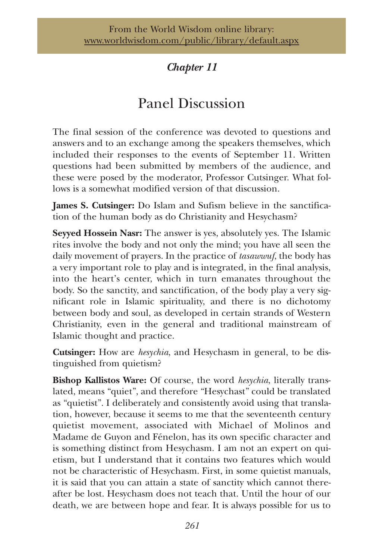# *Chapter 11*

# Panel Discussion

The final session of the conference was devoted to questions and answers and to an exchange among the speakers themselves, which included their responses to the events of September 11. Written questions had been submitted by members of the audience, and these were posed by the moderator, Professor Cutsinger. What follows is a somewhat modified version of that discussion.

**James S. Cutsinger:** Do Islam and Sufism believe in the sanctification of the human body as do Christianity and Hesychasm?

**Seyyed Hossein Nasr:** The answer is yes, absolutely yes. The Islamic rites involve the body and not only the mind; you have all seen the daily movement of prayers. In the practice of *tasawwuf*, the body has a very important role to play and is integrated, in the final analysis, into the heart's center, which in turn emanates throughout the body. So the sanctity, and sanctification, of the body play a very significant role in Islamic spirituality, and there is no dichotomy between body and soul, as developed in certain strands of Western Christianity, even in the general and traditional mainstream of Islamic thought and practice.

**Cutsinger:** How are *hesychia*, and Hesychasm in general, to be distinguished from quietism?

**Bishop Kallistos Ware:** Of course, the word *hesychia*, literally translated, means "quiet", and therefore "Hesychast" could be translated as "quietist". I deliberately and consistently avoid using that translation, however, because it seems to me that the seventeenth century quietist movement, associated with Michael of Molinos and Madame de Guyon and Fénelon, has its own specific character and is something distinct from Hesychasm. I am not an expert on quietism, but I understand that it contains two features which would not be characteristic of Hesychasm. First, in some quietist manuals, it is said that you can attain a state of sanctity which cannot thereafter be lost. Hesychasm does not teach that. Until the hour of our death, we are between hope and fear. It is always possible for us to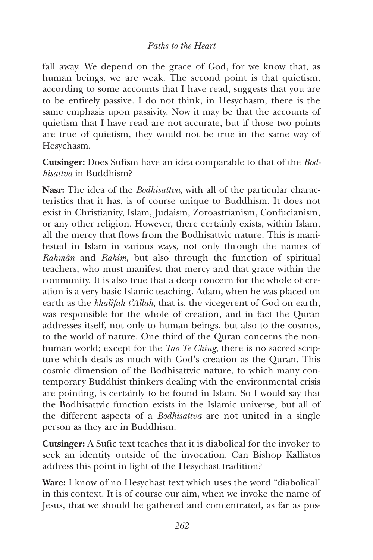fall away. We depend on the grace of God, for we know that, as human beings, we are weak. The second point is that quietism, according to some accounts that I have read, suggests that you are to be entirely passive. I do not think, in Hesychasm, there is the same emphasis upon passivity. Now it may be that the accounts of quietism that I have read are not accurate, but if those two points are true of quietism, they would not be true in the same way of Hesychasm.

**Cutsinger:** Does Sufism have an idea comparable to that of the *Bodhisattva* in Buddhism?

**Nasr:** The idea of the *Bodhisattva*, with all of the particular characteristics that it has, is of course unique to Buddhism. It does not exist in Christianity, Islam, Judaism, Zoroastrianism, Confucianism, or any other religion. However, there certainly exists, within Islam, all the mercy that flows from the Bodhisattvic nature. This is manifested in Islam in various ways, not only through the names of *Rahmân* and *Rahîm*, but also through the function of spiritual teachers, who must manifest that mercy and that grace within the community. It is also true that a deep concern for the whole of creation is a very basic Islamic teaching. Adam, when he was placed on earth as the *khalîfah t'Allah*, that is, the vicegerent of God on earth, was responsible for the whole of creation, and in fact the Quran addresses itself, not only to human beings, but also to the cosmos, to the world of nature. One third of the Quran concerns the nonhuman world; except for the *Tao Te Ching*, there is no sacred scripture which deals as much with God's creation as the Quran. This cosmic dimension of the Bodhisattvic nature, to which many contemporary Buddhist thinkers dealing with the environmental crisis are pointing, is certainly to be found in Islam. So I would say that the Bodhisattvic function exists in the Islamic universe, but all of the different aspects of a *Bodhisattva* are not united in a single person as they are in Buddhism.

**Cutsinger:** A Sufic text teaches that it is diabolical for the invoker to seek an identity outside of the invocation. Can Bishop Kallistos address this point in light of the Hesychast tradition?

**Ware:** I know of no Hesychast text which uses the word "diabolical' in this context. It is of course our aim, when we invoke the name of Jesus, that we should be gathered and concentrated, as far as pos-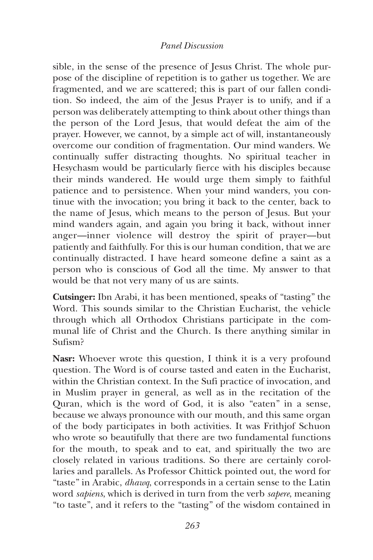sible, in the sense of the presence of Jesus Christ. The whole purpose of the discipline of repetition is to gather us together. We are fragmented, and we are scattered; this is part of our fallen condition. So indeed, the aim of the Jesus Prayer is to unify, and if a person was deliberately attempting to think about other things than the person of the Lord Jesus, that would defeat the aim of the prayer. However, we cannot, by a simple act of will, instantaneously overcome our condition of fragmentation. Our mind wanders. We continually suffer distracting thoughts. No spiritual teacher in Hesychasm would be particularly fierce with his disciples because their minds wandered. He would urge them simply to faithful patience and to persistence. When your mind wanders, you continue with the invocation; you bring it back to the center, back to the name of Jesus, which means to the person of Jesus. But your mind wanders again, and again you bring it back, without inner anger—inner violence will destroy the spirit of prayer—but patiently and faithfully. For this is our human condition, that we are continually distracted. I have heard someone define a saint as a person who is conscious of God all the time. My answer to that would be that not very many of us are saints.

**Cutsinger:** Ibn Arabi, it has been mentioned, speaks of "tasting" the Word. This sounds similar to the Christian Eucharist, the vehicle through which all Orthodox Christians participate in the communal life of Christ and the Church. Is there anything similar in Sufism?

**Nasr:** Whoever wrote this question, I think it is a very profound question. The Word is of course tasted and eaten in the Eucharist, within the Christian context. In the Sufi practice of invocation, and in Muslim prayer in general, as well as in the recitation of the Quran, which is the word of God, it is also "eaten" in a sense, because we always pronounce with our mouth, and this same organ of the body participates in both activities. It was Frithjof Schuon who wrote so beautifully that there are two fundamental functions for the mouth, to speak and to eat, and spiritually the two are closely related in various traditions. So there are certainly corollaries and parallels. As Professor Chittick pointed out, the word for "taste" in Arabic, *dhawq*, corresponds in a certain sense to the Latin word *sapiens*, which is derived in turn from the verb *sapere*, meaning "to taste", and it refers to the "tasting" of the wisdom contained in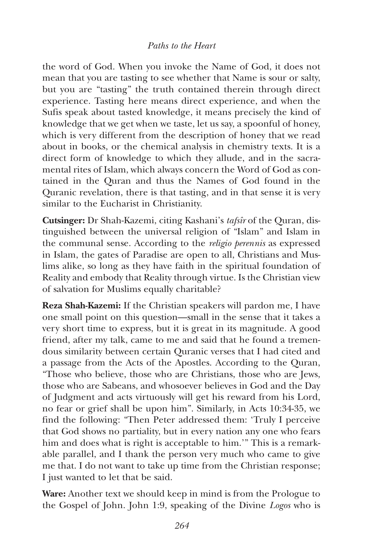the word of God. When you invoke the Name of God, it does not mean that you are tasting to see whether that Name is sour or salty, but you are "tasting" the truth contained therein through direct experience. Tasting here means direct experience, and when the Sufis speak about tasted knowledge, it means precisely the kind of knowledge that we get when we taste, let us say, a spoonful of honey, which is very different from the description of honey that we read about in books, or the chemical analysis in chemistry texts. It is a direct form of knowledge to which they allude, and in the sacramental rites of Islam, which always concern the Word of God as contained in the Quran and thus the Names of God found in the Quranic revelation, there is that tasting, and in that sense it is very similar to the Eucharist in Christianity.

**Cutsinger:** Dr Shah-Kazemi, citing Kashani's *tafsîr* of the Quran, distinguished between the universal religion of "Islam" and Islam in the communal sense. According to the *religio perennis* as expressed in Islam, the gates of Paradise are open to all, Christians and Muslims alike, so long as they have faith in the spiritual foundation of Reality and embody that Reality through virtue. Is the Christian view of salvation for Muslims equally charitable?

**Reza Shah-Kazemi:** If the Christian speakers will pardon me, I have one small point on this question—small in the sense that it takes a very short time to express, but it is great in its magnitude. A good friend, after my talk, came to me and said that he found a tremendous similarity between certain Quranic verses that I had cited and a passage from the Acts of the Apostles. According to the Quran, "Those who believe, those who are Christians, those who are Jews, those who are Sabeans, and whosoever believes in God and the Day of Judgment and acts virtuously will get his reward from his Lord, no fear or grief shall be upon him". Similarly, in Acts 10:34-35, we find the following: "Then Peter addressed them: 'Truly I perceive that God shows no partiality, but in every nation any one who fears him and does what is right is acceptable to him.'" This is a remarkable parallel, and I thank the person very much who came to give me that. I do not want to take up time from the Christian response; I just wanted to let that be said.

**Ware:** Another text we should keep in mind is from the Prologue to the Gospel of John. John 1:9, speaking of the Divine *Logos* who is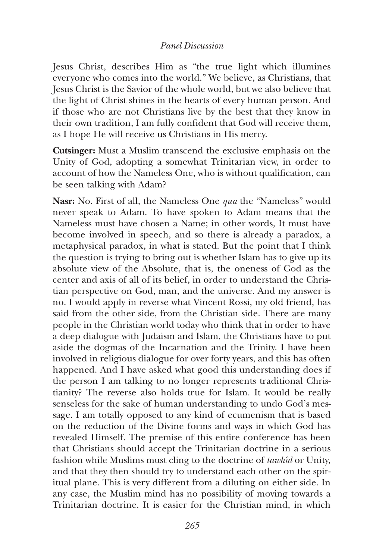Jesus Christ, describes Him as "the true light which illumines everyone who comes into the world." We believe, as Christians, that Jesus Christ is the Savior of the whole world, but we also believe that the light of Christ shines in the hearts of every human person. And if those who are not Christians live by the best that they know in their own tradition, I am fully confident that God will receive them, as I hope He will receive us Christians in His mercy.

**Cutsinger:** Must a Muslim transcend the exclusive emphasis on the Unity of God, adopting a somewhat Trinitarian view, in order to account of how the Nameless One, who is without qualification, can be seen talking with Adam?

**Nasr:** No. First of all, the Nameless One *qua* the "Nameless" would never speak to Adam. To have spoken to Adam means that the Nameless must have chosen a Name; in other words, It must have become involved in speech, and so there is already a paradox, a metaphysical paradox, in what is stated. But the point that I think the question is trying to bring out is whether Islam has to give up its absolute view of the Absolute, that is, the oneness of God as the center and axis of all of its belief, in order to understand the Christian perspective on God, man, and the universe. And my answer is no. I would apply in reverse what Vincent Rossi, my old friend, has said from the other side, from the Christian side. There are many people in the Christian world today who think that in order to have a deep dialogue with Judaism and Islam, the Christians have to put aside the dogmas of the Incarnation and the Trinity. I have been involved in religious dialogue for over forty years, and this has often happened. And I have asked what good this understanding does if the person I am talking to no longer represents traditional Christianity? The reverse also holds true for Islam. It would be really senseless for the sake of human understanding to undo God's message. I am totally opposed to any kind of ecumenism that is based on the reduction of the Divine forms and ways in which God has revealed Himself. The premise of this entire conference has been that Christians should accept the Trinitarian doctrine in a serious fashion while Muslims must cling to the doctrine of *tawhîd* or Unity, and that they then should try to understand each other on the spiritual plane. This is very different from a diluting on either side. In any case, the Muslim mind has no possibility of moving towards a Trinitarian doctrine. It is easier for the Christian mind, in which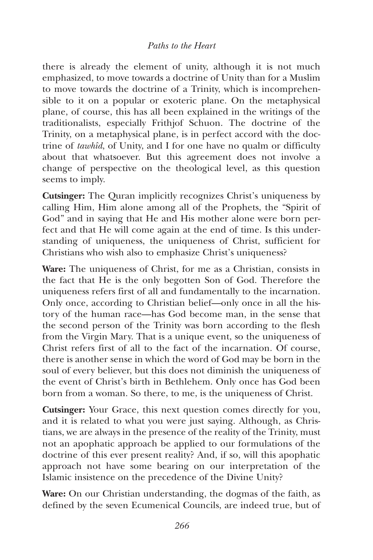there is already the element of unity, although it is not much emphasized, to move towards a doctrine of Unity than for a Muslim to move towards the doctrine of a Trinity, which is incomprehensible to it on a popular or exoteric plane. On the metaphysical plane, of course, this has all been explained in the writings of the traditionalists, especially Frithjof Schuon. The doctrine of the Trinity, on a metaphysical plane, is in perfect accord with the doctrine of *tawhîd*, of Unity, and I for one have no qualm or difficulty about that whatsoever. But this agreement does not involve a change of perspective on the theological level, as this question seems to imply.

**Cutsinger:** The Quran implicitly recognizes Christ's uniqueness by calling Him, Him alone among all of the Prophets, the "Spirit of God" and in saying that He and His mother alone were born perfect and that He will come again at the end of time. Is this understanding of uniqueness, the uniqueness of Christ, sufficient for Christians who wish also to emphasize Christ's uniqueness?

**Ware:** The uniqueness of Christ, for me as a Christian, consists in the fact that He is the only begotten Son of God. Therefore the uniqueness refers first of all and fundamentally to the incarnation. Only once, according to Christian belief—only once in all the history of the human race—has God become man, in the sense that the second person of the Trinity was born according to the flesh from the Virgin Mary. That is a unique event, so the uniqueness of Christ refers first of all to the fact of the incarnation. Of course, there is another sense in which the word of God may be born in the soul of every believer, but this does not diminish the uniqueness of the event of Christ's birth in Bethlehem. Only once has God been born from a woman. So there, to me, is the uniqueness of Christ.

**Cutsinger:** Your Grace, this next question comes directly for you, and it is related to what you were just saying. Although, as Christians, we are always in the presence of the reality of the Trinity, must not an apophatic approach be applied to our formulations of the doctrine of this ever present reality? And, if so, will this apophatic approach not have some bearing on our interpretation of the Islamic insistence on the precedence of the Divine Unity?

**Ware:** On our Christian understanding, the dogmas of the faith, as defined by the seven Ecumenical Councils, are indeed true, but of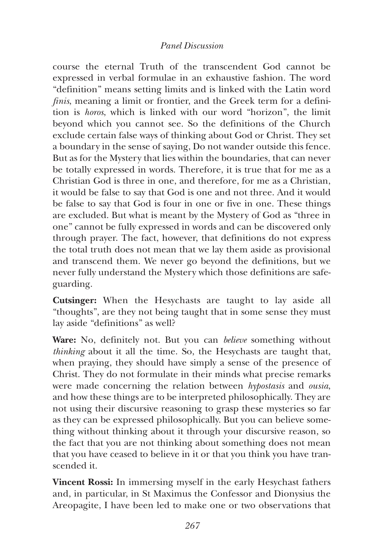course the eternal Truth of the transcendent God cannot be expressed in verbal formulae in an exhaustive fashion. The word "definition" means setting limits and is linked with the Latin word *finis*, meaning a limit or frontier, and the Greek term for a definition is *horos*, which is linked with our word "horizon", the limit beyond which you cannot see. So the definitions of the Church exclude certain false ways of thinking about God or Christ. They set a boundary in the sense of saying, Do not wander outside this fence. But as for the Mystery that lies within the boundaries, that can never be totally expressed in words. Therefore, it is true that for me as a Christian God is three in one, and therefore, for me as a Christian, it would be false to say that God is one and not three. And it would be false to say that God is four in one or five in one. These things are excluded. But what is meant by the Mystery of God as "three in one" cannot be fully expressed in words and can be discovered only through prayer. The fact, however, that definitions do not express the total truth does not mean that we lay them aside as provisional and transcend them. We never go beyond the definitions, but we never fully understand the Mystery which those definitions are safeguarding.

**Cutsinger:** When the Hesychasts are taught to lay aside all "thoughts", are they not being taught that in some sense they must lay aside "definitions" as well?

**Ware:** No, definitely not. But you can *believe* something without *thinking* about it all the time. So, the Hesychasts are taught that, when praying, they should have simply a sense of the presence of Christ. They do not formulate in their minds what precise remarks were made concerning the relation between *hypostasis* and *ousia*, and how these things are to be interpreted philosophically. They are not using their discursive reasoning to grasp these mysteries so far as they can be expressed philosophically. But you can believe something without thinking about it through your discursive reason, so the fact that you are not thinking about something does not mean that you have ceased to believe in it or that you think you have transcended it.

**Vincent Rossi:** In immersing myself in the early Hesychast fathers and, in particular, in St Maximus the Confessor and Dionysius the Areopagite, I have been led to make one or two observations that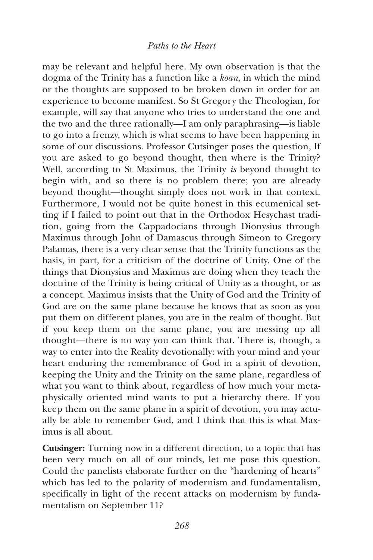may be relevant and helpful here. My own observation is that the dogma of the Trinity has a function like a *koan*, in which the mind or the thoughts are supposed to be broken down in order for an experience to become manifest. So St Gregory the Theologian, for example, will say that anyone who tries to understand the one and the two and the three rationally—I am only paraphrasing—is liable to go into a frenzy, which is what seems to have been happening in some of our discussions. Professor Cutsinger poses the question, If you are asked to go beyond thought, then where is the Trinity? Well, according to St Maximus, the Trinity *is* beyond thought to begin with, and so there is no problem there; you are already beyond thought—thought simply does not work in that context. Furthermore, I would not be quite honest in this ecumenical setting if I failed to point out that in the Orthodox Hesychast tradition, going from the Cappadocians through Dionysius through Maximus through John of Damascus through Simeon to Gregory Palamas, there is a very clear sense that the Trinity functions as the basis, in part, for a criticism of the doctrine of Unity. One of the things that Dionysius and Maximus are doing when they teach the doctrine of the Trinity is being critical of Unity as a thought, or as a concept. Maximus insists that the Unity of God and the Trinity of God are on the same plane because he knows that as soon as you put them on different planes, you are in the realm of thought. But if you keep them on the same plane, you are messing up all thought—there is no way you can think that. There is, though, a way to enter into the Reality devotionally: with your mind and your heart enduring the remembrance of God in a spirit of devotion, keeping the Unity and the Trinity on the same plane, regardless of what you want to think about, regardless of how much your metaphysically oriented mind wants to put a hierarchy there. If you keep them on the same plane in a spirit of devotion, you may actually be able to remember God, and I think that this is what Maximus is all about.

**Cutsinger:** Turning now in a different direction, to a topic that has been very much on all of our minds, let me pose this question. Could the panelists elaborate further on the "hardening of hearts" which has led to the polarity of modernism and fundamentalism, specifically in light of the recent attacks on modernism by fundamentalism on September 11?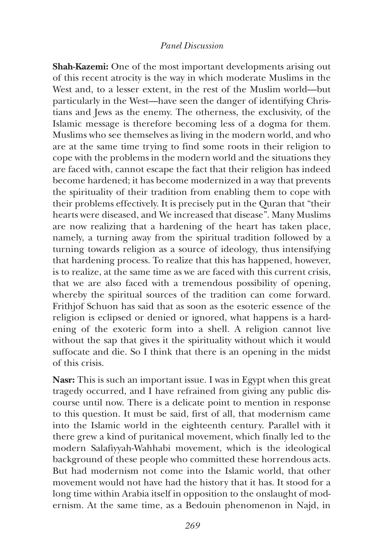**Shah-Kazemi:** One of the most important developments arising out of this recent atrocity is the way in which moderate Muslims in the West and, to a lesser extent, in the rest of the Muslim world—but particularly in the West—have seen the danger of identifying Christians and Jews as the enemy. The otherness, the exclusivity, of the Islamic message is therefore becoming less of a dogma for them. Muslims who see themselves as living in the modern world, and who are at the same time trying to find some roots in their religion to cope with the problems in the modern world and the situations they are faced with, cannot escape the fact that their religion has indeed become hardened; it has become modernized in a way that prevents the spirituality of their tradition from enabling them to cope with their problems effectively. It is precisely put in the Quran that "their hearts were diseased, and We increased that disease". Many Muslims are now realizing that a hardening of the heart has taken place, namely, a turning away from the spiritual tradition followed by a turning towards religion as a source of ideology, thus intensifying that hardening process. To realize that this has happened, however, is to realize, at the same time as we are faced with this current crisis, that we are also faced with a tremendous possibility of opening, whereby the spiritual sources of the tradition can come forward. Frithjof Schuon has said that as soon as the esoteric essence of the religion is eclipsed or denied or ignored, what happens is a hardening of the exoteric form into a shell. A religion cannot live without the sap that gives it the spirituality without which it would suffocate and die. So I think that there is an opening in the midst of this crisis.

**Nasr:** This is such an important issue. I was in Egypt when this great tragedy occurred, and I have refrained from giving any public discourse until now. There is a delicate point to mention in response to this question. It must be said, first of all, that modernism came into the Islamic world in the eighteenth century. Parallel with it there grew a kind of puritanical movement, which finally led to the modern Salafiyyah-Wahhabi movement, which is the ideological background of these people who committed these horrendous acts. But had modernism not come into the Islamic world, that other movement would not have had the history that it has. It stood for a long time within Arabia itself in opposition to the onslaught of modernism. At the same time, as a Bedouin phenomenon in Najd, in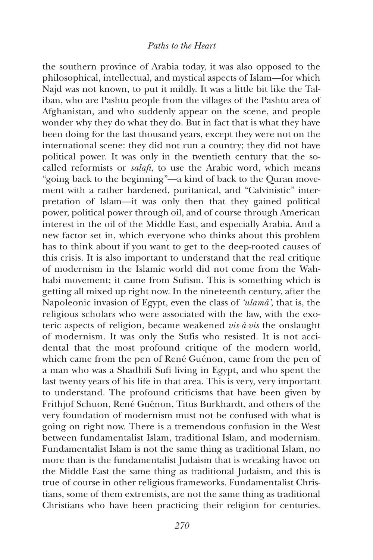the southern province of Arabia today, it was also opposed to the philosophical, intellectual, and mystical aspects of Islam—for which Najd was not known, to put it mildly. It was a little bit like the Taliban, who are Pashtu people from the villages of the Pashtu area of Afghanistan, and who suddenly appear on the scene, and people wonder why they do what they do. But in fact that is what they have been doing for the last thousand years, except they were not on the international scene: they did not run a country; they did not have political power. It was only in the twentieth century that the socalled reformists or *salafi*, to use the Arabic word, which means "going back to the beginning"—a kind of back to the Quran movement with a rather hardened, puritanical, and "Calvinistic" interpretation of Islam—it was only then that they gained political power, political power through oil, and of course through American interest in the oil of the Middle East, and especially Arabia. And a new factor set in, which everyone who thinks about this problem has to think about if you want to get to the deep-rooted causes of this crisis. It is also important to understand that the real critique of modernism in the Islamic world did not come from the Wahhabi movement; it came from Sufism. This is something which is getting all mixed up right now. In the nineteenth century, after the Napoleonic invasion of Egypt, even the class of *'ulamâ'*, that is, the religious scholars who were associated with the law, with the exoteric aspects of religion, became weakened *vis-à-vis* the onslaught of modernism. It was only the Sufis who resisted. It is not accidental that the most profound critique of the modern world, which came from the pen of René Guénon, came from the pen of a man who was a Shadhili Sufi living in Egypt, and who spent the last twenty years of his life in that area. This is very, very important to understand. The profound criticisms that have been given by Frithjof Schuon, René Guénon, Titus Burkhardt, and others of the very foundation of modernism must not be confused with what is going on right now. There is a tremendous confusion in the West between fundamentalist Islam, traditional Islam, and modernism. Fundamentalist Islam is not the same thing as traditional Islam, no more than is the fundamentalist Judaism that is wreaking havoc on the Middle East the same thing as traditional Judaism, and this is true of course in other religious frameworks. Fundamentalist Christians, some of them extremists, are not the same thing as traditional Christians who have been practicing their religion for centuries.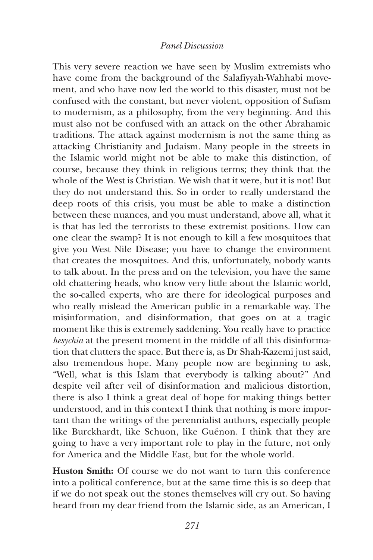This very severe reaction we have seen by Muslim extremists who have come from the background of the Salafiyyah-Wahhabi movement, and who have now led the world to this disaster, must not be confused with the constant, but never violent, opposition of Sufism to modernism, as a philosophy, from the very beginning. And this must also not be confused with an attack on the other Abrahamic traditions. The attack against modernism is not the same thing as attacking Christianity and Judaism. Many people in the streets in the Islamic world might not be able to make this distinction, of course, because they think in religious terms; they think that the whole of the West is Christian. We wish that it were, but it is not! But they do not understand this. So in order to really understand the deep roots of this crisis, you must be able to make a distinction between these nuances, and you must understand, above all, what it is that has led the terrorists to these extremist positions. How can one clear the swamp? It is not enough to kill a few mosquitoes that give you West Nile Disease; you have to change the environment that creates the mosquitoes. And this, unfortunately, nobody wants to talk about. In the press and on the television, you have the same old chattering heads, who know very little about the Islamic world, the so-called experts, who are there for ideological purposes and who really mislead the American public in a remarkable way. The misinformation, and disinformation, that goes on at a tragic moment like this is extremely saddening. You really have to practice *hesychia* at the present moment in the middle of all this disinformation that clutters the space. But there is, as Dr Shah-Kazemi just said, also tremendous hope. Many people now are beginning to ask, "Well, what is this Islam that everybody is talking about?" And despite veil after veil of disinformation and malicious distortion, there is also I think a great deal of hope for making things better understood, and in this context I think that nothing is more important than the writings of the perennialist authors, especially people like Burckhardt, like Schuon, like Guénon. I think that they are going to have a very important role to play in the future, not only for America and the Middle East, but for the whole world.

**Huston Smith:** Of course we do not want to turn this conference into a political conference, but at the same time this is so deep that if we do not speak out the stones themselves will cry out. So having heard from my dear friend from the Islamic side, as an American, I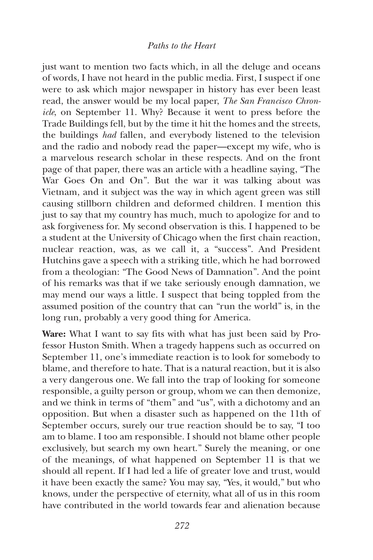just want to mention two facts which, in all the deluge and oceans of words, I have not heard in the public media. First, I suspect if one were to ask which major newspaper in history has ever been least read, the answer would be my local paper, *The San Francisco Chronicle*, on September 11. Why? Because it went to press before the Trade Buildings fell, but by the time it hit the homes and the streets, the buildings *had* fallen, and everybody listened to the television and the radio and nobody read the paper—except my wife, who is a marvelous research scholar in these respects. And on the front page of that paper, there was an article with a headline saying, "The War Goes On and On". But the war it was talking about was Vietnam, and it subject was the way in which agent green was still causing stillborn children and deformed children. I mention this just to say that my country has much, much to apologize for and to ask forgiveness for. My second observation is this. I happened to be a student at the University of Chicago when the first chain reaction, nuclear reaction, was, as we call it, a "success". And President Hutchins gave a speech with a striking title, which he had borrowed from a theologian: "The Good News of Damnation". And the point of his remarks was that if we take seriously enough damnation, we may mend our ways a little. I suspect that being toppled from the assumed position of the country that can "run the world" is, in the long run, probably a very good thing for America.

**Ware:** What I want to say fits with what has just been said by Professor Huston Smith. When a tragedy happens such as occurred on September 11, one's immediate reaction is to look for somebody to blame, and therefore to hate. That is a natural reaction, but it is also a very dangerous one. We fall into the trap of looking for someone responsible, a guilty person or group, whom we can then demonize, and we think in terms of "them" and "us", with a dichotomy and an opposition. But when a disaster such as happened on the 11th of September occurs, surely our true reaction should be to say, "I too am to blame. I too am responsible. I should not blame other people exclusively, but search my own heart." Surely the meaning, or one of the meanings, of what happened on September 11 is that we should all repent. If I had led a life of greater love and trust, would it have been exactly the same? You may say, "Yes, it would," but who knows, under the perspective of eternity, what all of us in this room have contributed in the world towards fear and alienation because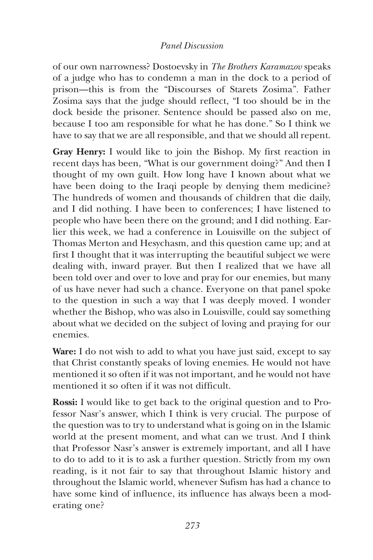of our own narrowness? Dostoevsky in *The Brothers Karamazov* speaks of a judge who has to condemn a man in the dock to a period of prison—this is from the "Discourses of Starets Zosima". Father Zosima says that the judge should reflect, "I too should be in the dock beside the prisoner. Sentence should be passed also on me, because I too am responsible for what he has done." So I think we have to say that we are all responsible, and that we should all repent.

**Gray Henry:** I would like to join the Bishop. My first reaction in recent days has been, "What is our government doing?" And then I thought of my own guilt. How long have I known about what we have been doing to the Iraqi people by denying them medicine? The hundreds of women and thousands of children that die daily, and I did nothing. I have been to conferences; I have listened to people who have been there on the ground; and I did nothing. Earlier this week, we had a conference in Louisville on the subject of Thomas Merton and Hesychasm, and this question came up; and at first I thought that it was interrupting the beautiful subject we were dealing with, inward prayer. But then I realized that we have all been told over and over to love and pray for our enemies, but many of us have never had such a chance. Everyone on that panel spoke to the question in such a way that I was deeply moved. I wonder whether the Bishop, who was also in Louisville, could say something about what we decided on the subject of loving and praying for our enemies.

**Ware:** I do not wish to add to what you have just said, except to say that Christ constantly speaks of loving enemies. He would not have mentioned it so often if it was not important, and he would not have mentioned it so often if it was not difficult.

**Rossi:** I would like to get back to the original question and to Professor Nasr's answer, which I think is very crucial. The purpose of the question was to try to understand what is going on in the Islamic world at the present moment, and what can we trust. And I think that Professor Nasr's answer is extremely important, and all I have to do to add to it is to ask a further question. Strictly from my own reading, is it not fair to say that throughout Islamic history and throughout the Islamic world, whenever Sufism has had a chance to have some kind of influence, its influence has always been a moderating one?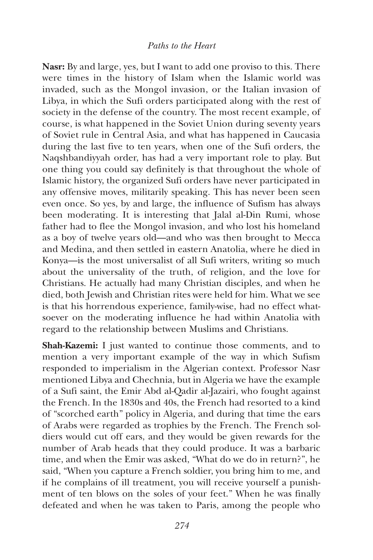**Nasr:** By and large, yes, but I want to add one proviso to this. There were times in the history of Islam when the Islamic world was invaded, such as the Mongol invasion, or the Italian invasion of Libya, in which the Sufi orders participated along with the rest of society in the defense of the country. The most recent example, of course, is what happened in the Soviet Union during seventy years of Soviet rule in Central Asia, and what has happened in Caucasia during the last five to ten years, when one of the Sufi orders, the Naqshbandiyyah order, has had a very important role to play. But one thing you could say definitely is that throughout the whole of Islamic history, the organized Sufi orders have never participated in any offensive moves, militarily speaking. This has never been seen even once. So yes, by and large, the influence of Sufism has always been moderating. It is interesting that Jalal al-Din Rumi, whose father had to flee the Mongol invasion, and who lost his homeland as a boy of twelve years old—and who was then brought to Mecca and Medina, and then settled in eastern Anatolia, where he died in Konya—is the most universalist of all Sufi writers, writing so much about the universality of the truth, of religion, and the love for Christians. He actually had many Christian disciples, and when he died, both Jewish and Christian rites were held for him. What we see is that his horrendous experience, family-wise, had no effect whatsoever on the moderating influence he had within Anatolia with regard to the relationship between Muslims and Christians.

**Shah-Kazemi:** I just wanted to continue those comments, and to mention a very important example of the way in which Sufism responded to imperialism in the Algerian context. Professor Nasr mentioned Libya and Chechnia, but in Algeria we have the example of a Sufi saint, the Emir Abd al-Qadir al-Jazairi, who fought against the French. In the 1830s and 40s, the French had resorted to a kind of "scorched earth" policy in Algeria, and during that time the ears of Arabs were regarded as trophies by the French. The French soldiers would cut off ears, and they would be given rewards for the number of Arab heads that they could produce. It was a barbaric time, and when the Emir was asked, "What do we do in return?", he said, "When you capture a French soldier, you bring him to me, and if he complains of ill treatment, you will receive yourself a punishment of ten blows on the soles of your feet." When he was finally defeated and when he was taken to Paris, among the people who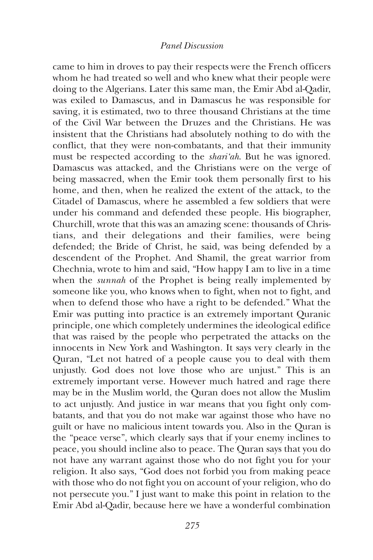came to him in droves to pay their respects were the French officers whom he had treated so well and who knew what their people were doing to the Algerians. Later this same man, the Emir Abd al-Qadir, was exiled to Damascus, and in Damascus he was responsible for saving, it is estimated, two to three thousand Christians at the time of the Civil War between the Druzes and the Christians. He was insistent that the Christians had absolutely nothing to do with the conflict, that they were non-combatants, and that their immunity must be respected according to the *shari'ah*. But he was ignored. Damascus was attacked, and the Christians were on the verge of being massacred, when the Emir took them personally first to his home, and then, when he realized the extent of the attack, to the Citadel of Damascus, where he assembled a few soldiers that were under his command and defended these people. His biographer, Churchill, wrote that this was an amazing scene: thousands of Christians, and their delegations and their families, were being defended; the Bride of Christ, he said, was being defended by a descendent of the Prophet. And Shamil, the great warrior from Chechnia, wrote to him and said, "How happy I am to live in a time when the *sunnah* of the Prophet is being really implemented by someone like you, who knows when to fight, when not to fight, and when to defend those who have a right to be defended." What the Emir was putting into practice is an extremely important Quranic principle, one which completely undermines the ideological edifice that was raised by the people who perpetrated the attacks on the innocents in New York and Washington. It says very clearly in the Quran, "Let not hatred of a people cause you to deal with them unjustly. God does not love those who are unjust." This is an extremely important verse. However much hatred and rage there may be in the Muslim world, the Quran does not allow the Muslim to act unjustly. And justice in war means that you fight only combatants, and that you do not make war against those who have no guilt or have no malicious intent towards you. Also in the Quran is the "peace verse", which clearly says that if your enemy inclines to peace, you should incline also to peace. The Quran says that you do not have any warrant against those who do not fight you for your religion. It also says, "God does not forbid you from making peace with those who do not fight you on account of your religion, who do not persecute you." I just want to make this point in relation to the Emir Abd al-Qadir, because here we have a wonderful combination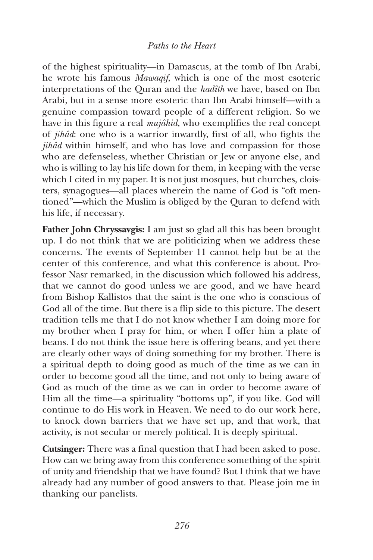of the highest spirituality—in Damascus, at the tomb of Ibn Arabi, he wrote his famous *Mawaqif*, which is one of the most esoteric interpretations of the Quran and the *hadîth* we have, based on Ibn Arabi, but in a sense more esoteric than Ibn Arabi himself—with a genuine compassion toward people of a different religion. So we have in this figure a real *mujâhid*, who exemplifies the real concept of *jihâd*: one who is a warrior inwardly, first of all, who fights the *jihâd* within himself, and who has love and compassion for those who are defenseless, whether Christian or Jew or anyone else, and who is willing to lay his life down for them, in keeping with the verse which I cited in my paper. It is not just mosques, but churches, cloisters, synagogues—all places wherein the name of God is "oft mentioned"—which the Muslim is obliged by the Quran to defend with his life, if necessary.

**Father John Chryssavgis:** I am just so glad all this has been brought up. I do not think that we are politicizing when we address these concerns. The events of September 11 cannot help but be at the center of this conference, and what this conference is about. Professor Nasr remarked, in the discussion which followed his address, that we cannot do good unless we are good, and we have heard from Bishop Kallistos that the saint is the one who is conscious of God all of the time. But there is a flip side to this picture. The desert tradition tells me that I do not know whether I am doing more for my brother when I pray for him, or when I offer him a plate of beans. I do not think the issue here is offering beans, and yet there are clearly other ways of doing something for my brother. There is a spiritual depth to doing good as much of the time as we can in order to become good all the time, and not only to being aware of God as much of the time as we can in order to become aware of Him all the time—a spirituality "bottoms up", if you like. God will continue to do His work in Heaven. We need to do our work here, to knock down barriers that we have set up, and that work, that activity, is not secular or merely political. It is deeply spiritual.

**Cutsinger:** There was a final question that I had been asked to pose. How can we bring away from this conference something of the spirit of unity and friendship that we have found? But I think that we have already had any number of good answers to that. Please join me in thanking our panelists.